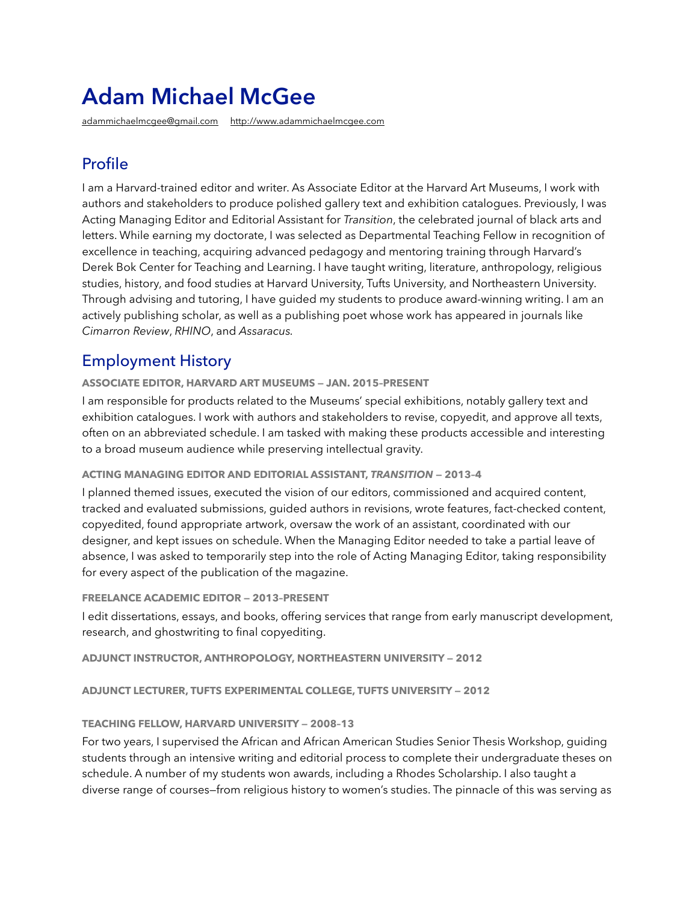# **Adam Michael McGee**

[adammichaelmcgee@gmail.com](mailto:adammichaelmcgee@gmail.com) <http://www.adammichaelmcgee.com>

# Profile

I am a Harvard-trained editor and writer. As Associate Editor at the Harvard Art Museums, I work with authors and stakeholders to produce polished gallery text and exhibition catalogues. Previously, I was Acting Managing Editor and Editorial Assistant for *Transition*, the celebrated journal of black arts and letters. While earning my doctorate, I was selected as Departmental Teaching Fellow in recognition of excellence in teaching, acquiring advanced pedagogy and mentoring training through Harvard's Derek Bok Center for Teaching and Learning. I have taught writing, literature, anthropology, religious studies, history, and food studies at Harvard University, Tufts University, and Northeastern University. Through advising and tutoring, I have guided my students to produce award-winning writing. I am an actively publishing scholar, as well as a publishing poet whose work has appeared in journals like *Cimarron Review*, *RHINO*, and *Assaracus.*

## Employment History

**ASSOCIATE EDITOR, HARVARD ART MUSEUMS — JAN. 2015–PRESENT** 

I am responsible for products related to the Museums' special exhibitions, notably gallery text and exhibition catalogues. I work with authors and stakeholders to revise, copyedit, and approve all texts, often on an abbreviated schedule. I am tasked with making these products accessible and interesting to a broad museum audience while preserving intellectual gravity.

#### **ACTING MANAGING EDITOR AND EDITORIAL ASSISTANT,** *TRANSITION* **— 2013–4**

I planned themed issues, executed the vision of our editors, commissioned and acquired content, tracked and evaluated submissions, guided authors in revisions, wrote features, fact-checked content, copyedited, found appropriate artwork, oversaw the work of an assistant, coordinated with our designer, and kept issues on schedule. When the Managing Editor needed to take a partial leave of absence, I was asked to temporarily step into the role of Acting Managing Editor, taking responsibility for every aspect of the publication of the magazine.

#### **FREELANCE ACADEMIC EDITOR — 2013–PRESENT**

I edit dissertations, essays, and books, offering services that range from early manuscript development, research, and ghostwriting to final copyediting.

**ADJUNCT INSTRUCTOR, ANTHROPOLOGY, NORTHEASTERN UNIVERSITY — 2012**

**ADJUNCT LECTURER, TUFTS EXPERIMENTAL COLLEGE, TUFTS UNIVERSITY — 2012**

#### **TEACHING FELLOW, HARVARD UNIVERSITY — 2008–13**

For two years, I supervised the African and African American Studies Senior Thesis Workshop, guiding students through an intensive writing and editorial process to complete their undergraduate theses on schedule. A number of my students won awards, including a Rhodes Scholarship. I also taught a diverse range of courses—from religious history to women's studies. The pinnacle of this was serving as